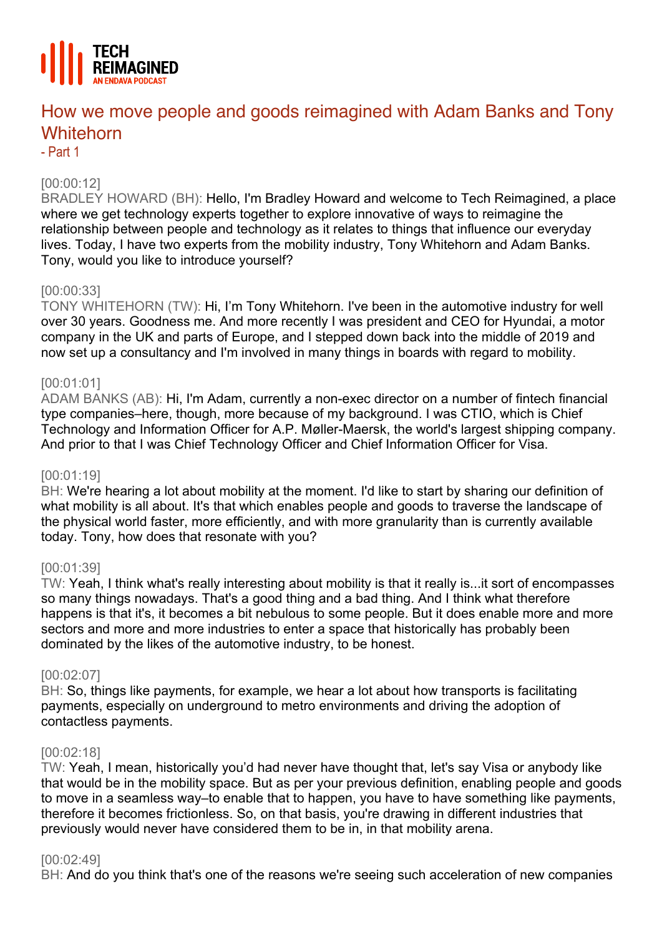

# How we move people and goods reimagined with Adam Banks and Tony **Whitehorn**

- Part 1

# [00:00:12]

BRADLEY HOWARD (BH): Hello, I'm Bradley Howard and welcome to Tech Reimagined, a place where we get technology experts together to explore innovative of ways to reimagine the relationship between people and technology as it relates to things that influence our everyday lives. Today, I have two experts from the mobility industry, Tony Whitehorn and Adam Banks. Tony, would you like to introduce yourself?

# [00:00:33]

TONY WHITEHORN (TW): Hi, I'm Tony Whitehorn. I've been in the automotive industry for well over 30 years. Goodness me. And more recently I was president and CEO for Hyundai, a motor company in the UK and parts of Europe, and I stepped down back into the middle of 2019 and now set up a consultancy and I'm involved in many things in boards with regard to mobility.

# [00:01:01]

ADAM BANKS (AB): Hi, I'm Adam, currently a non-exec director on a number of fintech financial type companies–here, though, more because of my background. I was CTIO, which is Chief Technology and Information Officer for A.P. Møller-Maersk, the world's largest shipping company. And prior to that I was Chief Technology Officer and Chief Information Officer for Visa.

# [00:01:19]

BH: We're hearing a lot about mobility at the moment. I'd like to start by sharing our definition of what mobility is all about. It's that which enables people and goods to traverse the landscape of the physical world faster, more efficiently, and with more granularity than is currently available today. Tony, how does that resonate with you?

# [00:01:39]

TW: Yeah, I think what's really interesting about mobility is that it really is...it sort of encompasses so many things nowadays. That's a good thing and a bad thing. And I think what therefore happens is that it's, it becomes a bit nebulous to some people. But it does enable more and more sectors and more and more industries to enter a space that historically has probably been dominated by the likes of the automotive industry, to be honest.

#### [00:02:07]

BH: So, things like payments, for example, we hear a lot about how transports is facilitating payments, especially on underground to metro environments and driving the adoption of contactless payments.

#### [00:02:18]

TW: Yeah, I mean, historically you'd had never have thought that, let's say Visa or anybody like that would be in the mobility space. But as per your previous definition, enabling people and goods to move in a seamless way–to enable that to happen, you have to have something like payments, therefore it becomes frictionless. So, on that basis, you're drawing in different industries that previously would never have considered them to be in, in that mobility arena.

#### [00:02:49]

BH: And do you think that's one of the reasons we're seeing such acceleration of new companies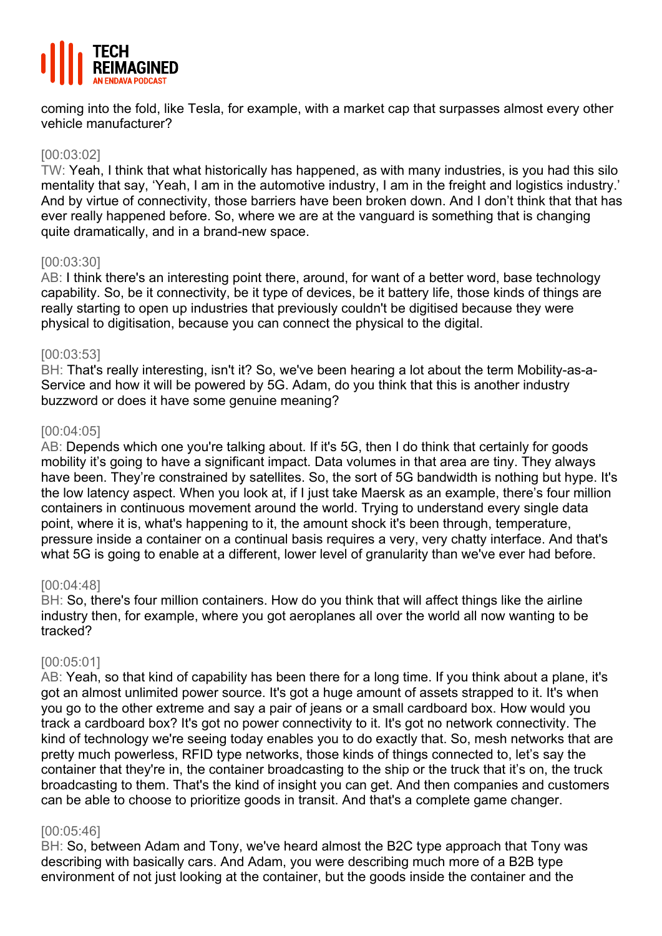

coming into the fold, like Tesla, for example, with a market cap that surpasses almost every other vehicle manufacturer?

## [00:03:02]

TW: Yeah, I think that what historically has happened, as with many industries, is you had this silo mentality that say, 'Yeah, I am in the automotive industry, I am in the freight and logistics industry.' And by virtue of connectivity, those barriers have been broken down. And I don't think that that has ever really happened before. So, where we are at the vanguard is something that is changing quite dramatically, and in a brand-new space.

## [00:03:30]

AB: I think there's an interesting point there, around, for want of a better word, base technology capability. So, be it connectivity, be it type of devices, be it battery life, those kinds of things are really starting to open up industries that previously couldn't be digitised because they were physical to digitisation, because you can connect the physical to the digital.

## [00:03:53]

BH: That's really interesting, isn't it? So, we've been hearing a lot about the term Mobility-as-a-Service and how it will be powered by 5G. Adam, do you think that this is another industry buzzword or does it have some genuine meaning?

## [00:04:05]

AB: Depends which one you're talking about. If it's 5G, then I do think that certainly for goods mobility it's going to have a significant impact. Data volumes in that area are tiny. They always have been. They're constrained by satellites. So, the sort of 5G bandwidth is nothing but hype. It's the low latency aspect. When you look at, if I just take Maersk as an example, there's four million containers in continuous movement around the world. Trying to understand every single data point, where it is, what's happening to it, the amount shock it's been through, temperature, pressure inside a container on a continual basis requires a very, very chatty interface. And that's what 5G is going to enable at a different, lower level of granularity than we've ever had before.

#### [00:04:48]

BH: So, there's four million containers. How do you think that will affect things like the airline industry then, for example, where you got aeroplanes all over the world all now wanting to be tracked?

# [00:05:01]

AB: Yeah, so that kind of capability has been there for a long time. If you think about a plane, it's got an almost unlimited power source. It's got a huge amount of assets strapped to it. It's when you go to the other extreme and say a pair of jeans or a small cardboard box. How would you track a cardboard box? It's got no power connectivity to it. It's got no network connectivity. The kind of technology we're seeing today enables you to do exactly that. So, mesh networks that are pretty much powerless, RFID type networks, those kinds of things connected to, let's say the container that they're in, the container broadcasting to the ship or the truck that it's on, the truck broadcasting to them. That's the kind of insight you can get. And then companies and customers can be able to choose to prioritize goods in transit. And that's a complete game changer.

#### [00:05:46]

BH: So, between Adam and Tony, we've heard almost the B2C type approach that Tony was describing with basically cars. And Adam, you were describing much more of a B2B type environment of not just looking at the container, but the goods inside the container and the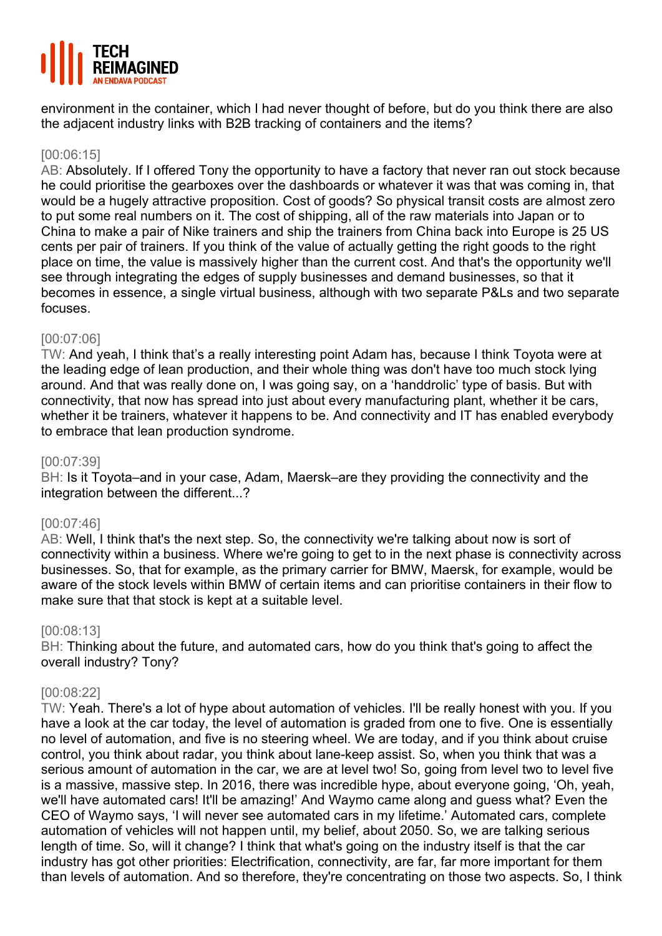

environment in the container, which I had never thought of before, but do you think there are also the adjacent industry links with B2B tracking of containers and the items?

# [00:06:15]

AB: Absolutely. If I offered Tony the opportunity to have a factory that never ran out stock because he could prioritise the gearboxes over the dashboards or whatever it was that was coming in, that would be a hugely attractive proposition. Cost of goods? So physical transit costs are almost zero to put some real numbers on it. The cost of shipping, all of the raw materials into Japan or to China to make a pair of Nike trainers and ship the trainers from China back into Europe is 25 US cents per pair of trainers. If you think of the value of actually getting the right goods to the right place on time, the value is massively higher than the current cost. And that's the opportunity we'll see through integrating the edges of supply businesses and demand businesses, so that it becomes in essence, a single virtual business, although with two separate P&Ls and two separate focuses.

# [00:07:06]

TW: And yeah, I think that's a really interesting point Adam has, because I think Toyota were at the leading edge of lean production, and their whole thing was don't have too much stock lying around. And that was really done on, I was going say, on a 'handdrolic' type of basis. But with connectivity, that now has spread into just about every manufacturing plant, whether it be cars, whether it be trainers, whatever it happens to be. And connectivity and IT has enabled everybody to embrace that lean production syndrome.

#### [00:07:39]

BH: Is it Toyota–and in your case, Adam, Maersk–are they providing the connectivity and the integration between the different...?

#### [00:07:46]

AB: Well, I think that's the next step. So, the connectivity we're talking about now is sort of connectivity within a business. Where we're going to get to in the next phase is connectivity across businesses. So, that for example, as the primary carrier for BMW, Maersk, for example, would be aware of the stock levels within BMW of certain items and can prioritise containers in their flow to make sure that that stock is kept at a suitable level.

#### [00:08:13]

BH: Thinking about the future, and automated cars, how do you think that's going to affect the overall industry? Tony?

#### [00:08:22]

TW: Yeah. There's a lot of hype about automation of vehicles. I'll be really honest with you. If you have a look at the car today, the level of automation is graded from one to five. One is essentially no level of automation, and five is no steering wheel. We are today, and if you think about cruise control, you think about radar, you think about lane-keep assist. So, when you think that was a serious amount of automation in the car, we are at level two! So, going from level two to level five is a massive, massive step. In 2016, there was incredible hype, about everyone going, 'Oh, yeah, we'll have automated cars! It'll be amazing!' And Waymo came along and guess what? Even the CEO of Waymo says, 'I will never see automated cars in my lifetime.' Automated cars, complete automation of vehicles will not happen until, my belief, about 2050. So, we are talking serious length of time. So, will it change? I think that what's going on the industry itself is that the car industry has got other priorities: Electrification, connectivity, are far, far more important for them than levels of automation. And so therefore, they're concentrating on those two aspects. So, I think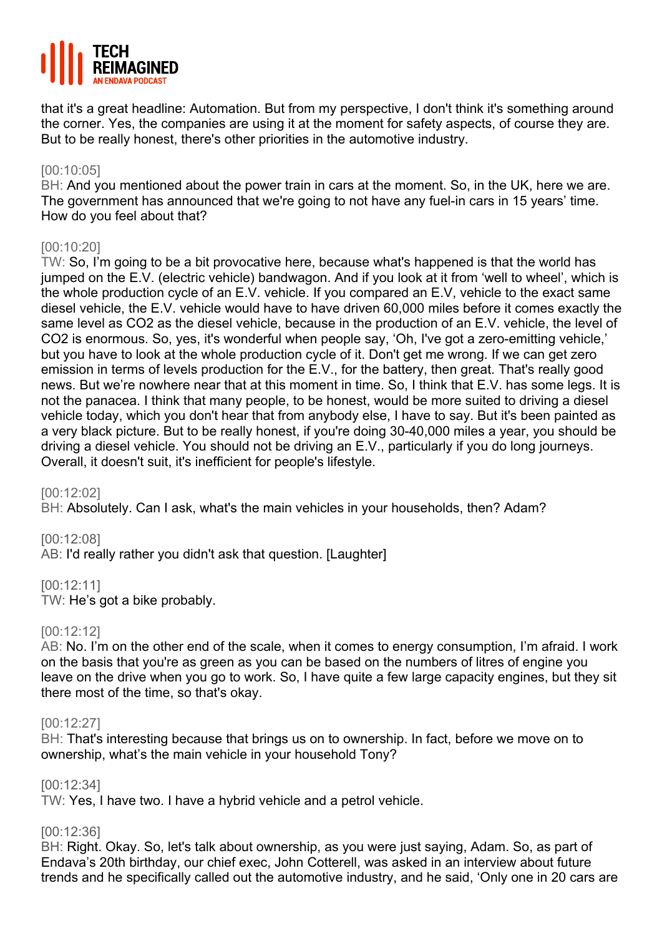

that it's a great headline: Automation. But from my perspective, I don't think it's something around the corner. Yes, the companies are using it at the moment for safety aspects, of course they are. But to be really honest, there's other priorities in the automotive industry.

# [00:10:05]

BH: And you mentioned about the power train in cars at the moment. So, in the UK, here we are. The government has announced that we're going to not have any fuel-in cars in 15 years' time. How do you feel about that?

# [00:10:20]

TW: So, I'm going to be a bit provocative here, because what's happened is that the world has jumped on the E.V. (electric vehicle) bandwagon. And if you look at it from 'well to wheel', which is the whole production cycle of an E.V. vehicle. If you compared an E.V, vehicle to the exact same diesel vehicle, the E.V. vehicle would have to have driven 60,000 miles before it comes exactly the same level as CO2 as the diesel vehicle, because in the production of an E.V. vehicle, the level of CO2 is enormous. So, yes, it's wonderful when people say, 'Oh, I've got a zero-emitting vehicle,' but you have to look at the whole production cycle of it. Don't get me wrong. If we can get zero emission in terms of levels production for the E.V., for the battery, then great. That's really good news. But we're nowhere near that at this moment in time. So, I think that E.V. has some legs. It is not the panacea. I think that many people, to be honest, would be more suited to driving a diesel vehicle today, which you don't hear that from anybody else, I have to say. But it's been painted as a very black picture. But to be really honest, if you're doing 30-40,000 miles a year, you should be driving a diesel vehicle. You should not be driving an E.V., particularly if you do long journeys. Overall, it doesn't suit, it's inefficient for people's lifestyle.

[00:12:02]

BH: Absolutely. Can I ask, what's the main vehicles in your households, then? Adam?

[00:12:08]

AB: I'd really rather you didn't ask that question. [Laughter]

[00:12:11]

TW: He's got a bike probably.

# [00:12:12]

AB: No. I'm on the other end of the scale, when it comes to energy consumption, I'm afraid. I work on the basis that you're as green as you can be based on the numbers of litres of engine you leave on the drive when you go to work. So, I have quite a few large capacity engines, but they sit there most of the time, so that's okay.

#### [00:12:27]

BH: That's interesting because that brings us on to ownership. In fact, before we move on to ownership, what's the main vehicle in your household Tony?

#### [00:12:34]

TW: Yes, I have two. I have a hybrid vehicle and a petrol vehicle.

#### [00:12:36]

BH: Right. Okay. So, let's talk about ownership, as you were just saying, Adam. So, as part of Endava's 20th birthday, our chief exec, John Cotterell, was asked in an interview about future trends and he specifically called out the automotive industry, and he said, 'Only one in 20 cars are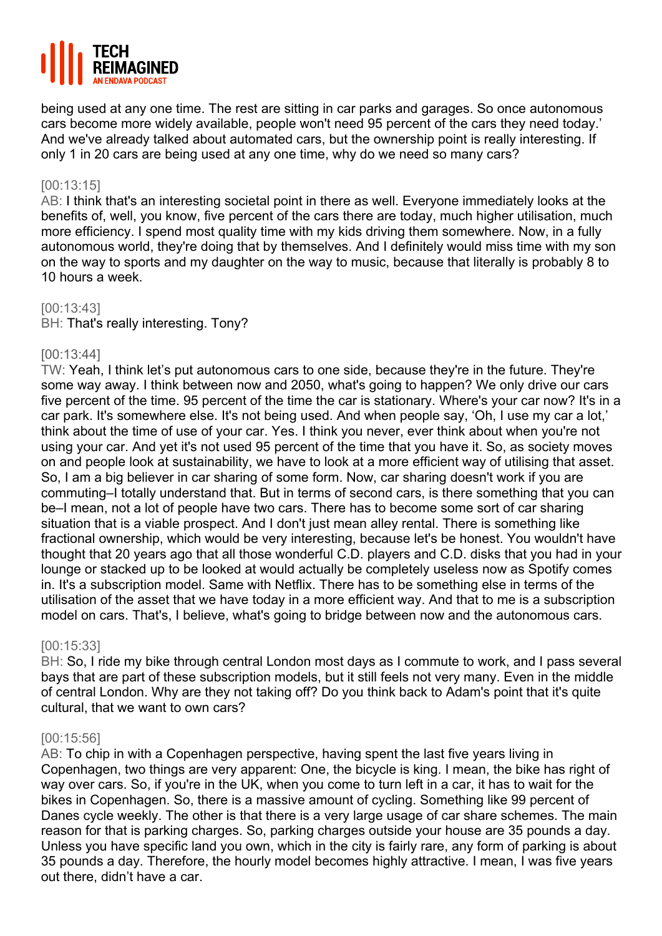

being used at any one time. The rest are sitting in car parks and garages. So once autonomous cars become more widely available, people won't need 95 percent of the cars they need today.' And we've already talked about automated cars, but the ownership point is really interesting. If only 1 in 20 cars are being used at any one time, why do we need so many cars?

## [00:13:15]

AB: I think that's an interesting societal point in there as well. Everyone immediately looks at the benefits of, well, you know, five percent of the cars there are today, much higher utilisation, much more efficiency. I spend most quality time with my kids driving them somewhere. Now, in a fully autonomous world, they're doing that by themselves. And I definitely would miss time with my son on the way to sports and my daughter on the way to music, because that literally is probably 8 to 10 hours a week.

#### [00:13:43]

BH: That's really interesting. Tony?

## [00:13:44]

TW: Yeah, I think let's put autonomous cars to one side, because they're in the future. They're some way away. I think between now and 2050, what's going to happen? We only drive our cars five percent of the time. 95 percent of the time the car is stationary. Where's your car now? It's in a car park. It's somewhere else. It's not being used. And when people say, 'Oh, I use my car a lot,' think about the time of use of your car. Yes. I think you never, ever think about when you're not using your car. And yet it's not used 95 percent of the time that you have it. So, as society moves on and people look at sustainability, we have to look at a more efficient way of utilising that asset. So, I am a big believer in car sharing of some form. Now, car sharing doesn't work if you are commuting–I totally understand that. But in terms of second cars, is there something that you can be–I mean, not a lot of people have two cars. There has to become some sort of car sharing situation that is a viable prospect. And I don't just mean alley rental. There is something like fractional ownership, which would be very interesting, because let's be honest. You wouldn't have thought that 20 years ago that all those wonderful C.D. players and C.D. disks that you had in your lounge or stacked up to be looked at would actually be completely useless now as Spotify comes in. It's a subscription model. Same with Netflix. There has to be something else in terms of the utilisation of the asset that we have today in a more efficient way. And that to me is a subscription model on cars. That's, I believe, what's going to bridge between now and the autonomous cars.

#### [00:15:33]

BH: So, I ride my bike through central London most days as I commute to work, and I pass several bays that are part of these subscription models, but it still feels not very many. Even in the middle of central London. Why are they not taking off? Do you think back to Adam's point that it's quite cultural, that we want to own cars?

#### [00:15:56]

AB: To chip in with a Copenhagen perspective, having spent the last five years living in Copenhagen, two things are very apparent: One, the bicycle is king. I mean, the bike has right of way over cars. So, if you're in the UK, when you come to turn left in a car, it has to wait for the bikes in Copenhagen. So, there is a massive amount of cycling. Something like 99 percent of Danes cycle weekly. The other is that there is a very large usage of car share schemes. The main reason for that is parking charges. So, parking charges outside your house are 35 pounds a day. Unless you have specific land you own, which in the city is fairly rare, any form of parking is about 35 pounds a day. Therefore, the hourly model becomes highly attractive. I mean, I was five years out there, didn't have a car.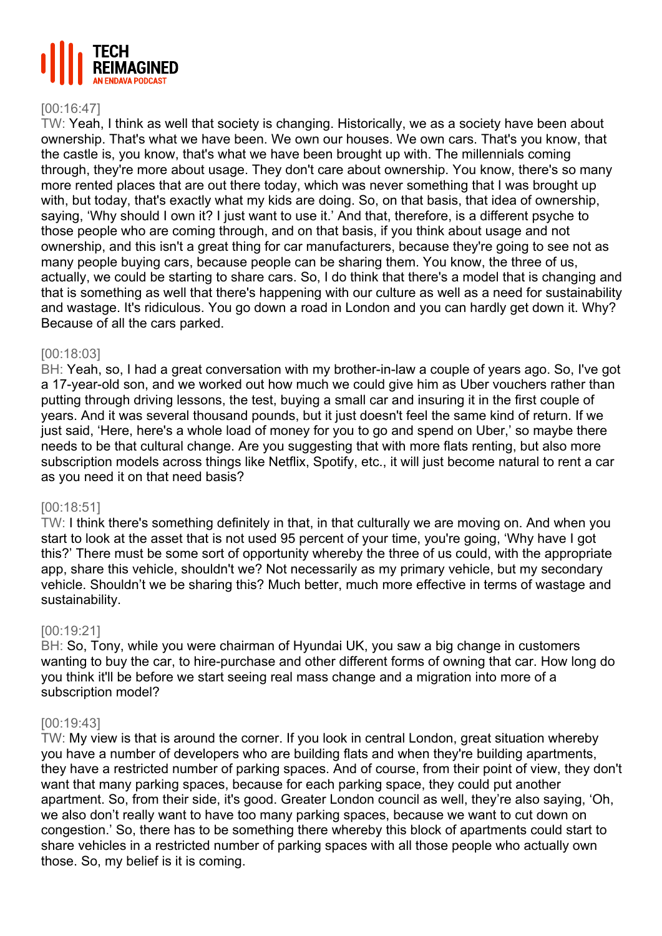

#### [00:16:47]

TW: Yeah, I think as well that society is changing. Historically, we as a society have been about ownership. That's what we have been. We own our houses. We own cars. That's you know, that the castle is, you know, that's what we have been brought up with. The millennials coming through, they're more about usage. They don't care about ownership. You know, there's so many more rented places that are out there today, which was never something that I was brought up with, but today, that's exactly what my kids are doing. So, on that basis, that idea of ownership, saying, 'Why should I own it? I just want to use it.' And that, therefore, is a different psyche to those people who are coming through, and on that basis, if you think about usage and not ownership, and this isn't a great thing for car manufacturers, because they're going to see not as many people buying cars, because people can be sharing them. You know, the three of us, actually, we could be starting to share cars. So, I do think that there's a model that is changing and that is something as well that there's happening with our culture as well as a need for sustainability and wastage. It's ridiculous. You go down a road in London and you can hardly get down it. Why? Because of all the cars parked.

#### [00:18:03]

BH: Yeah, so, I had a great conversation with my brother-in-law a couple of years ago. So, I've got a 17-year-old son, and we worked out how much we could give him as Uber vouchers rather than putting through driving lessons, the test, buying a small car and insuring it in the first couple of years. And it was several thousand pounds, but it just doesn't feel the same kind of return. If we just said, 'Here, here's a whole load of money for you to go and spend on Uber,' so maybe there needs to be that cultural change. Are you suggesting that with more flats renting, but also more subscription models across things like Netflix, Spotify, etc., it will just become natural to rent a car as you need it on that need basis?

#### [00:18:51]

TW: I think there's something definitely in that, in that culturally we are moving on. And when you start to look at the asset that is not used 95 percent of your time, you're going, 'Why have I got this?' There must be some sort of opportunity whereby the three of us could, with the appropriate app, share this vehicle, shouldn't we? Not necessarily as my primary vehicle, but my secondary vehicle. Shouldn't we be sharing this? Much better, much more effective in terms of wastage and sustainability.

#### [00:19:21]

BH: So, Tony, while you were chairman of Hyundai UK, you saw a big change in customers wanting to buy the car, to hire-purchase and other different forms of owning that car. How long do you think it'll be before we start seeing real mass change and a migration into more of a subscription model?

#### [00:19:43]

TW: My view is that is around the corner. If you look in central London, great situation whereby you have a number of developers who are building flats and when they're building apartments, they have a restricted number of parking spaces. And of course, from their point of view, they don't want that many parking spaces, because for each parking space, they could put another apartment. So, from their side, it's good. Greater London council as well, they're also saying, 'Oh, we also don't really want to have too many parking spaces, because we want to cut down on congestion.' So, there has to be something there whereby this block of apartments could start to share vehicles in a restricted number of parking spaces with all those people who actually own those. So, my belief is it is coming.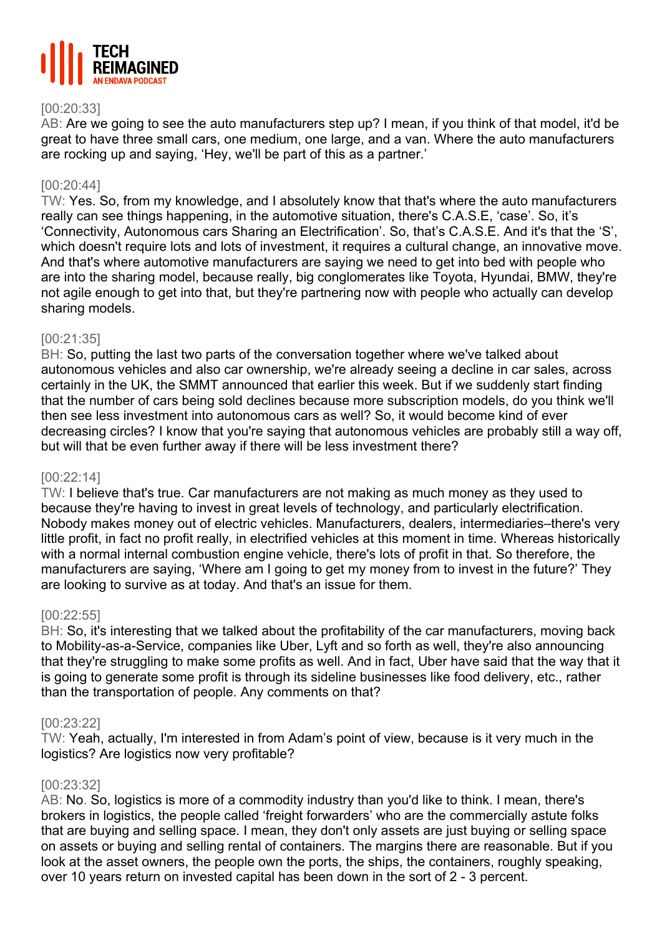

# [00:20:33]

AB: Are we going to see the auto manufacturers step up? I mean, if you think of that model, it'd be great to have three small cars, one medium, one large, and a van. Where the auto manufacturers are rocking up and saying, 'Hey, we'll be part of this as a partner.'

#### [00:20:44]

TW: Yes. So, from my knowledge, and I absolutely know that that's where the auto manufacturers really can see things happening, in the automotive situation, there's C.A.S.E, 'case'. So, it's 'Connectivity, Autonomous cars Sharing an Electrification'. So, that's C.A.S.E. And it's that the 'S', which doesn't require lots and lots of investment, it requires a cultural change, an innovative move. And that's where automotive manufacturers are saying we need to get into bed with people who are into the sharing model, because really, big conglomerates like Toyota, Hyundai, BMW, they're not agile enough to get into that, but they're partnering now with people who actually can develop sharing models.

## [00:21:35]

BH: So, putting the last two parts of the conversation together where we've talked about autonomous vehicles and also car ownership, we're already seeing a decline in car sales, across certainly in the UK, the SMMT announced that earlier this week. But if we suddenly start finding that the number of cars being sold declines because more subscription models, do you think we'll then see less investment into autonomous cars as well? So, it would become kind of ever decreasing circles? I know that you're saying that autonomous vehicles are probably still a way off, but will that be even further away if there will be less investment there?

#### [00:22:14]

TW: I believe that's true. Car manufacturers are not making as much money as they used to because they're having to invest in great levels of technology, and particularly electrification. Nobody makes money out of electric vehicles. Manufacturers, dealers, intermediaries–there's very little profit, in fact no profit really, in electrified vehicles at this moment in time. Whereas historically with a normal internal combustion engine vehicle, there's lots of profit in that. So therefore, the manufacturers are saying, 'Where am I going to get my money from to invest in the future?' They are looking to survive as at today. And that's an issue for them.

#### [00:22:55]

BH: So, it's interesting that we talked about the profitability of the car manufacturers, moving back to Mobility-as-a-Service, companies like Uber, Lyft and so forth as well, they're also announcing that they're struggling to make some profits as well. And in fact, Uber have said that the way that it is going to generate some profit is through its sideline businesses like food delivery, etc., rather than the transportation of people. Any comments on that?

#### [00:23:22]

TW: Yeah, actually, I'm interested in from Adam's point of view, because is it very much in the logistics? Are logistics now very profitable?

#### [00:23:32]

AB: No. So, logistics is more of a commodity industry than you'd like to think. I mean, there's brokers in logistics, the people called 'freight forwarders' who are the commercially astute folks that are buying and selling space. I mean, they don't only assets are just buying or selling space on assets or buying and selling rental of containers. The margins there are reasonable. But if you look at the asset owners, the people own the ports, the ships, the containers, roughly speaking, over 10 years return on invested capital has been down in the sort of 2 - 3 percent.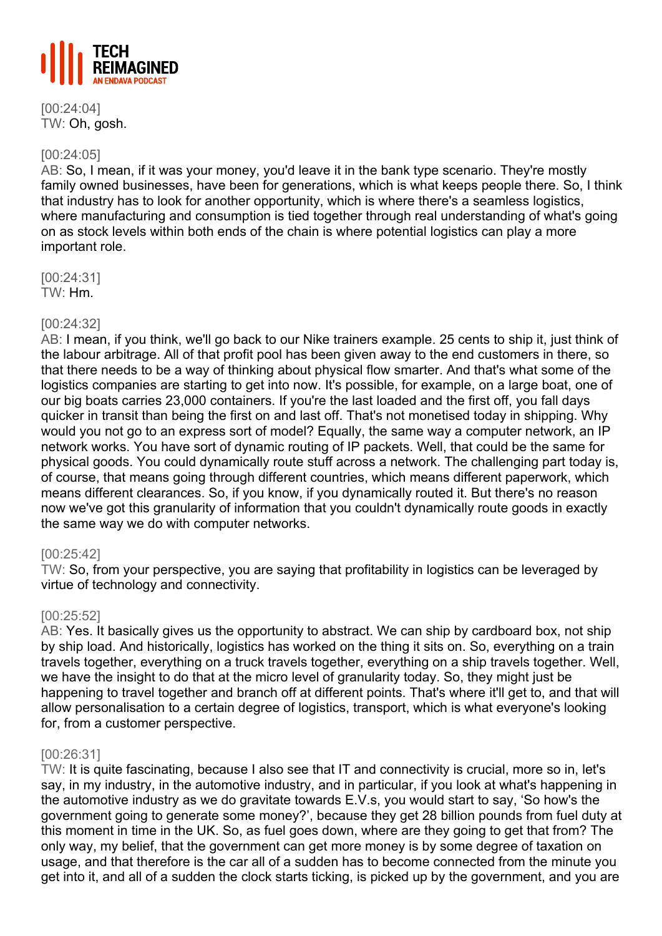

[00:24:04] TW: Oh, gosh.

# [00:24:05]

AB: So, I mean, if it was your money, you'd leave it in the bank type scenario. They're mostly family owned businesses, have been for generations, which is what keeps people there. So, I think that industry has to look for another opportunity, which is where there's a seamless logistics, where manufacturing and consumption is tied together through real understanding of what's going on as stock levels within both ends of the chain is where potential logistics can play a more important role.

[00:24:31] TW: Hm.

## [00:24:32]

AB: I mean, if you think, we'll go back to our Nike trainers example. 25 cents to ship it, just think of the labour arbitrage. All of that profit pool has been given away to the end customers in there, so that there needs to be a way of thinking about physical flow smarter. And that's what some of the logistics companies are starting to get into now. It's possible, for example, on a large boat, one of our big boats carries 23,000 containers. If you're the last loaded and the first off, you fall days quicker in transit than being the first on and last off. That's not monetised today in shipping. Why would you not go to an express sort of model? Equally, the same way a computer network, an IP network works. You have sort of dynamic routing of IP packets. Well, that could be the same for physical goods. You could dynamically route stuff across a network. The challenging part today is, of course, that means going through different countries, which means different paperwork, which means different clearances. So, if you know, if you dynamically routed it. But there's no reason now we've got this granularity of information that you couldn't dynamically route goods in exactly the same way we do with computer networks.

# [00:25:42]

TW: So, from your perspective, you are saying that profitability in logistics can be leveraged by virtue of technology and connectivity.

#### [00:25:52]

AB: Yes. It basically gives us the opportunity to abstract. We can ship by cardboard box, not ship by ship load. And historically, logistics has worked on the thing it sits on. So, everything on a train travels together, everything on a truck travels together, everything on a ship travels together. Well, we have the insight to do that at the micro level of granularity today. So, they might just be happening to travel together and branch off at different points. That's where it'll get to, and that will allow personalisation to a certain degree of logistics, transport, which is what everyone's looking for, from a customer perspective.

#### [00:26:31]

TW: It is quite fascinating, because I also see that IT and connectivity is crucial, more so in, let's say, in my industry, in the automotive industry, and in particular, if you look at what's happening in the automotive industry as we do gravitate towards E.V.s, you would start to say, 'So how's the government going to generate some money?', because they get 28 billion pounds from fuel duty at this moment in time in the UK. So, as fuel goes down, where are they going to get that from? The only way, my belief, that the government can get more money is by some degree of taxation on usage, and that therefore is the car all of a sudden has to become connected from the minute you get into it, and all of a sudden the clock starts ticking, is picked up by the government, and you are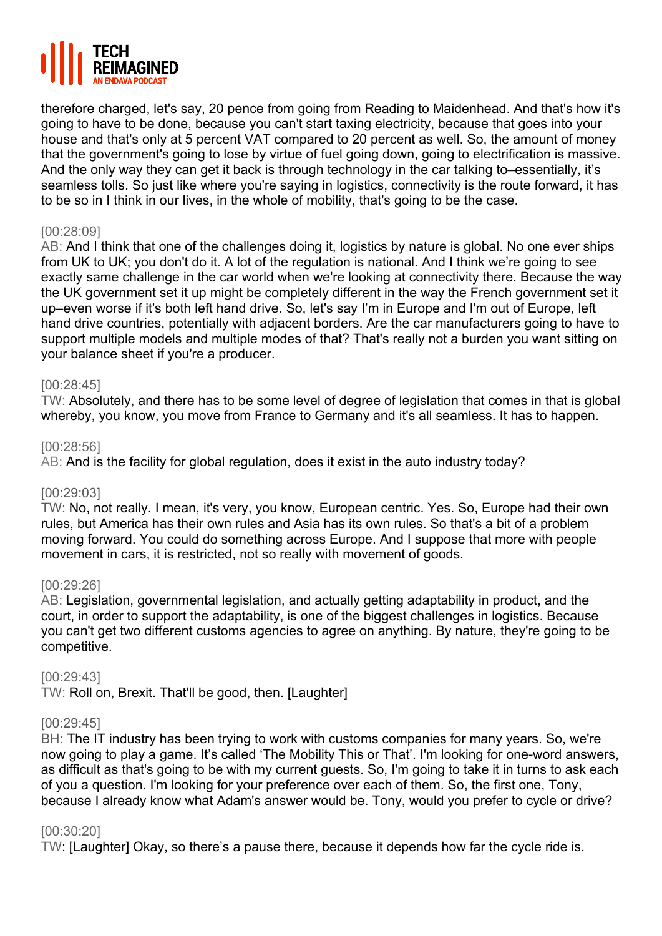

therefore charged, let's say, 20 pence from going from Reading to Maidenhead. And that's how it's going to have to be done, because you can't start taxing electricity, because that goes into your house and that's only at 5 percent VAT compared to 20 percent as well. So, the amount of money that the government's going to lose by virtue of fuel going down, going to electrification is massive. And the only way they can get it back is through technology in the car talking to–essentially, it's seamless tolls. So just like where you're saying in logistics, connectivity is the route forward, it has to be so in I think in our lives, in the whole of mobility, that's going to be the case.

# [00:28:09]

AB: And I think that one of the challenges doing it, logistics by nature is global. No one ever ships from UK to UK; you don't do it. A lot of the regulation is national. And I think we're going to see exactly same challenge in the car world when we're looking at connectivity there. Because the way the UK government set it up might be completely different in the way the French government set it up–even worse if it's both left hand drive. So, let's say I'm in Europe and I'm out of Europe, left hand drive countries, potentially with adjacent borders. Are the car manufacturers going to have to support multiple models and multiple modes of that? That's really not a burden you want sitting on your balance sheet if you're a producer.

#### [00:28:45]

TW: Absolutely, and there has to be some level of degree of legislation that comes in that is global whereby, you know, you move from France to Germany and it's all seamless. It has to happen.

#### [00:28:56]

AB: And is the facility for global regulation, does it exist in the auto industry today?

#### [00:29:03]

TW: No, not really. I mean, it's very, you know, European centric. Yes. So, Europe had their own rules, but America has their own rules and Asia has its own rules. So that's a bit of a problem moving forward. You could do something across Europe. And I suppose that more with people movement in cars, it is restricted, not so really with movement of goods.

#### [00:29:26]

AB: Legislation, governmental legislation, and actually getting adaptability in product, and the court, in order to support the adaptability, is one of the biggest challenges in logistics. Because you can't get two different customs agencies to agree on anything. By nature, they're going to be competitive.

#### [00:29:43]

TW: Roll on, Brexit. That'll be good, then. [Laughter]

#### [00:29:45]

BH: The IT industry has been trying to work with customs companies for many years. So, we're now going to play a game. It's called 'The Mobility This or That'. I'm looking for one-word answers, as difficult as that's going to be with my current guests. So, I'm going to take it in turns to ask each of you a question. I'm looking for your preference over each of them. So, the first one, Tony, because I already know what Adam's answer would be. Tony, would you prefer to cycle or drive?

#### [00:30:20]

TW: [Laughter] Okay, so there's a pause there, because it depends how far the cycle ride is.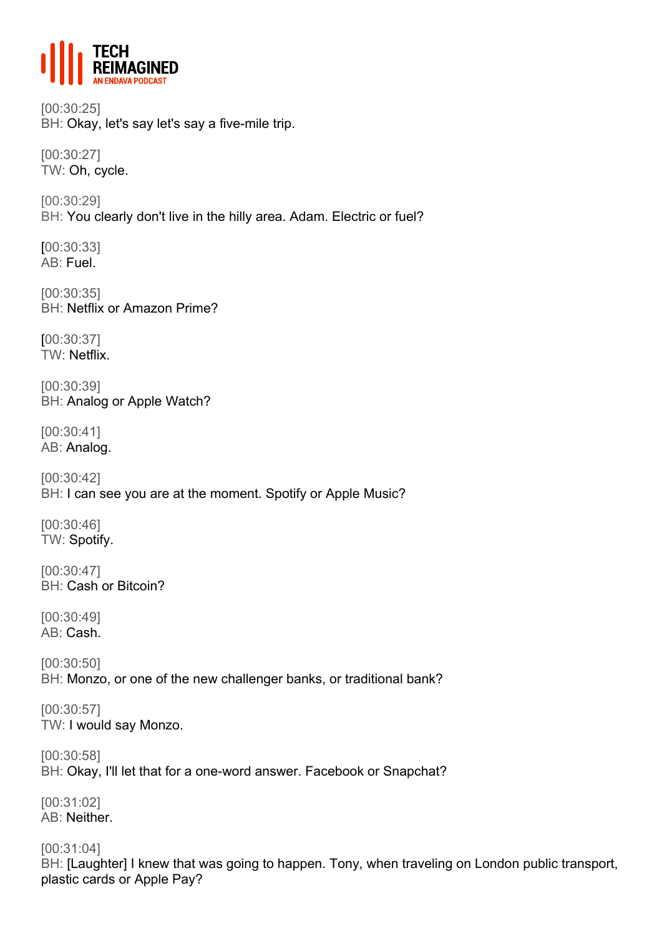

[00:30:25] BH: Okay, let's say let's say a five-mile trip.

[00:30:27] TW: Oh, cycle.

[00:30:29] BH: You clearly don't live in the hilly area. Adam. Electric or fuel?

[00:30:33] AB: Fuel.

[00:30:35] BH: Netflix or Amazon Prime?

[00:30:37] TW: Netflix.

[00:30:39] BH: Analog or Apple Watch?

[00:30:41] AB: Analog.

[00:30:42] BH: I can see you are at the moment. Spotify or Apple Music?

[00:30:46] TW: Spotify.

[00:30:47] BH: Cash or Bitcoin?

[00:30:49] AB: Cash.

[00:30:50] BH: Monzo, or one of the new challenger banks, or traditional bank?

[00:30:57] TW: I would say Monzo.

[00:30:58] BH: Okay, I'll let that for a one-word answer. Facebook or Snapchat?

[00:31:02] AB: Neither.

[00:31:04] BH: [Laughter] I knew that was going to happen. Tony, when traveling on London public transport, plastic cards or Apple Pay?